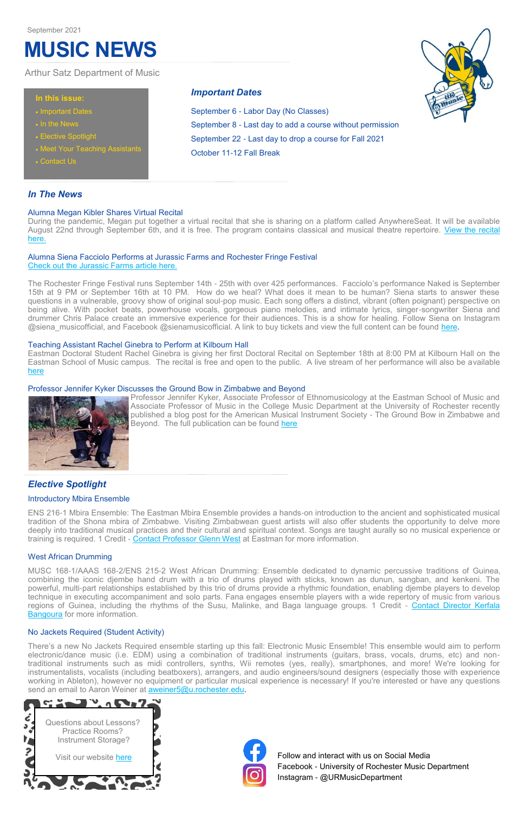## *In The News*

During the pandemic, Megan put together a virtual recital that she is sharing on a platform called AnywhereSeat. It will be available August 22nd through September 6th, and it is free. The program contains classical and musical theatre repertoire. View the recital [here.](https://megankibler.anywhereseat.com/channel.php)

#### Alumna Megan Kibler Shares Virtual Recital

The Rochester Fringe Festival runs September 14th - 25th with over 425 performances. Facciolo's performance Naked is September 15th at 9 PM or September 16th at 10 PM. How do we heal? What does it mean to be human? Siena starts to answer these questions in a vulnerable, groovy show of original soul-pop music. Each song offers a distinct, vibrant (often poignant) perspective on being alive. With pocket beats, powerhouse vocals, gorgeous piano melodies, and intimate lyrics, singer-songwriter Siena and drummer Chris Palace create an immersive experience for their audiences. This is a show for healing. Follow Siena on Instagram @siena musicofficial, and Facebook @sienamusicofficial. A link to buy tickets and view the full content can be found [here.](https://rochesterfringe.com/tickets-and-shows/naked)

#### Alumna Siena Facciolo Performs at Jurassic Farms and Rochester Fringe Festival [Check out the Jurassic Farms article here.](https://www.rochestercitynewspaper.com/rochester/jurassic-farms-aaron-rubin-siena-facciolo/Content?oid=13472332)

Professor Jennifer Kyker, Associate Professor of Ethnomusicology at the Eastman School of Music and Associate Professor of Music in the College Music Department at the University of Rochester recently published a blog post for the American Musical Instrument Society - The Ground Bow in Zimbabwe and Beyond. The full publication can be found [here](https://www.amis.org/post/the-ground-bow-in-zimbabwe-and-beyond)

ENS 216-1 Mbira Ensemble: The Eastman Mbira Ensemble provides a hands-on introduction to the ancient and sophisticated musical tradition of the Shona mbira of Zimbabwe. Visiting Zimbabwean guest artists will also offer students the opportunity to delve more deeply into traditional musical practices and their cultural and spiritual context. Songs are taught aurally so no musical experience or training is required. 1 Credit - [Contact Professor Glenn West](mailto:gwest@esm.rochester.edu) at Eastman for more information.

#### Teaching Assistant Rachel Ginebra to Perform at Kilbourn Hall

MUSC 168-1/AAAS 168-2/ENS 215-2 West African Drumming: Ensemble dedicated to dynamic percussive traditions of Guinea, combining the iconic djembe hand drum with a trio of drums played with sticks, known as dunun, sangban, and kenkeni. The powerful, multi-part relationships established by this trio of drums provide a rhythmic foundation, enabling djembe players to develop technique in executing accompaniment and solo parts. Fana engages ensemble players with a wide repertory of music from various regions of Guinea, including the rhythms of the Susu, Malinke, and Baga language groups. 1 Credit - [Contact Director Kerfala](mailto:kerfala.bangoura@gmail.com)  **[Bangoura](mailto:kerfala.bangoura@gmail.com)** for more information.

Eastman Doctoral Student Rachel Ginebra is giving her first Doctoral Recital on September 18th at 8:00 PM at Kilbourn Hall on the Eastman School of Music campus. The recital is free and open to the public. A live stream of her performance will also be available [here](https://www.esm.rochester.edu/live)

#### Professor Jennifer Kyker Discusses the Ground Bow in Zimbabwe and Beyond



There's a new No Jackets Required ensemble starting up this fall: Electronic Music Ensemble! This ensemble would aim to perform electronic/dance music (i.e. EDM) using a combination of traditional instruments (guitars, brass, vocals, drums, etc) and nontraditional instruments such as midi controllers, synths, Wii remotes (yes, really), smartphones, and more! We're looking for instrumentalists, vocalists (including beatboxers), arrangers, and audio engineers/sound designers (especially those with experience working in Ableton), however no equipment or particular musical experience is necessary! If you're interested or have any questions send an email to Aaron Weiner at **aweiner5@u.rochester.edu**.

# *Elective Spotlight*

#### Introductory Mbira Ensemble

Visit our website [here](http://www.sas.rochester.edu/mur/undergraduate/lessons.html) **Follow** and interact with us on Social Media Facebook - University of Rochester Music Department Instagram - @URMusicDepartment

### West African Drumming

#### No Jackets Required (Student Activity)

#### **In this issue:**

- Important Dates
- 
- Elective Spotlight
- Meet Your Teaching Assistants
- Contact Us

Arthur Satz Department of Music

*Important Dates*

September 6 - Labor Day (No Classes)

September 8 - Last day to add a course without permission

September 22 - Last day to drop a course for Fall 2021

October 11-12 Fall Break

# **MUSIC NEWS**

#### September 2021